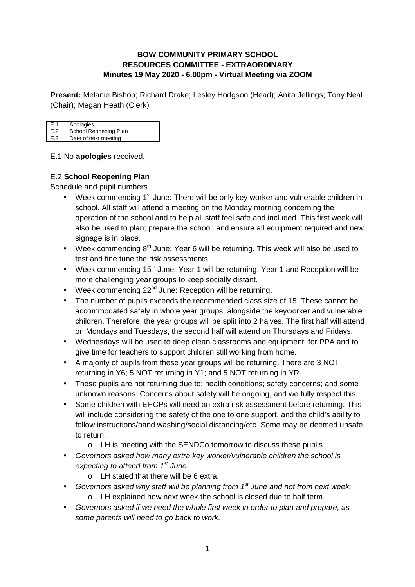#### **BOW COMMUNITY PRIMARY SCHOOL RESOURCES COMMITTEE - EXTRAORDINARY Minutes 19 May 2020 - 6.00pm - Virtual Meeting via ZOOM**

**Present:** Melanie Bishop; Richard Drake; Lesley Hodgson (Head); Anita Jellings; Tony Neal (Chair); Megan Heath (Clerk)

| l E.1 | Apologies             |
|-------|-----------------------|
| E.2   | School Reopening Plan |
| l E.3 | Date of next meeting  |

#### E.1 No **apologies** received.

### E.2 **School Reopening Plan**

Schedule and pupil numbers

- Week commencing  $1^{st}$  June: There will be only key worker and vulnerable children in school. All staff will attend a meeting on the Monday morning concerning the operation of the school and to help all staff feel safe and included. This first week will also be used to plan; prepare the school; and ensure all equipment required and new signage is in place.
- Week commencing  $8<sup>th</sup>$  June: Year 6 will be returning. This week will also be used to test and fine tune the risk assessments.
- Week commencing 15<sup>th</sup> June: Year 1 will be returning. Year 1 and Reception will be more challenging year groups to keep socially distant.
- Week commencing  $22^{nd}$  June: Reception will be returning.
- The number of pupils exceeds the recommended class size of 15. These cannot be accommodated safely in whole year groups, alongside the keyworker and vulnerable children. Therefore, the year groups will be split into 2 halves. The first half will attend on Mondays and Tuesdays, the second half will attend on Thursdays and Fridays.
- Wednesdays will be used to deep clean classrooms and equipment, for PPA and to give time for teachers to support children still working from home.
- A majority of pupils from these year groups will be returning. There are 3 NOT returning in Y6; 5 NOT returning in Y1; and 5 NOT returning in YR.
- These pupils are not returning due to: health conditions; safety concerns; and some unknown reasons. Concerns about safety will be ongoing, and we fully respect this.
- Some children with EHCPs will need an extra risk assessment before returning. This will include considering the safety of the one to one support, and the child's ability to follow instructions/hand washing/social distancing/etc. Some may be deemed unsafe to return.
	- o LH is meeting with the SENDCo tomorrow to discuss these pupils.
- Governors asked how many extra key worker/vulnerable children the school is expecting to attend from  $1<sup>st</sup>$  June.
	- o LH stated that there will be 6 extra.
- Governors asked why staff will be planning from  $1<sup>st</sup>$  June and not from next week. o LH explained how next week the school is closed due to half term.
- Governors asked if we need the whole first week in order to plan and prepare, as some parents will need to go back to work.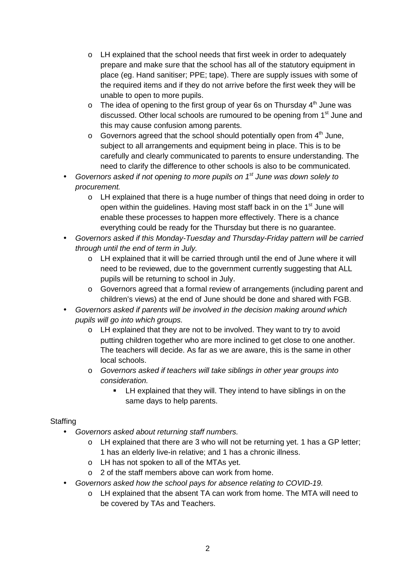- o LH explained that the school needs that first week in order to adequately prepare and make sure that the school has all of the statutory equipment in place (eg. Hand sanitiser; PPE; tape). There are supply issues with some of the required items and if they do not arrive before the first week they will be unable to open to more pupils.
- $\circ$  The idea of opening to the first group of year 6s on Thursday 4<sup>th</sup> June was discussed. Other local schools are rumoured to be opening from 1<sup>st</sup> June and this may cause confusion among parents.
- $\circ$  Governors agreed that the school should potentially open from  $4<sup>th</sup>$  June, subject to all arrangements and equipment being in place. This is to be carefully and clearly communicated to parents to ensure understanding. The need to clarify the difference to other schools is also to be communicated.
- Governors asked if not opening to more pupils on  $1<sup>st</sup>$  June was down solely to procurement.
	- $\circ$  LH explained that there is a huge number of things that need doing in order to open within the guidelines. Having most staff back in on the 1<sup>st</sup> June will enable these processes to happen more effectively. There is a chance everything could be ready for the Thursday but there is no guarantee.
- Governors asked if this Monday-Tuesday and Thursday-Friday pattern will be carried through until the end of term in July.
	- $\circ$  LH explained that it will be carried through until the end of June where it will need to be reviewed, due to the government currently suggesting that ALL pupils will be returning to school in July.
	- o Governors agreed that a formal review of arrangements (including parent and children's views) at the end of June should be done and shared with FGB.
- Governors asked if parents will be involved in the decision making around which pupils will go into which groups.
	- $\circ$  LH explained that they are not to be involved. They want to try to avoid putting children together who are more inclined to get close to one another. The teachers will decide. As far as we are aware, this is the same in other local schools.
	- o Governors asked if teachers will take siblings in other year groups into consideration.
		- **EXTER** LH explained that they will. They intend to have siblings in on the same days to help parents.

### **Staffing**

- Governors asked about returning staff numbers.
	- $\circ$  LH explained that there are 3 who will not be returning yet. 1 has a GP letter; 1 has an elderly live-in relative; and 1 has a chronic illness.
	- o LH has not spoken to all of the MTAs yet.
	- o 2 of the staff members above can work from home.
- Governors asked how the school pays for absence relating to COVID-19.
	- o LH explained that the absent TA can work from home. The MTA will need to be covered by TAs and Teachers.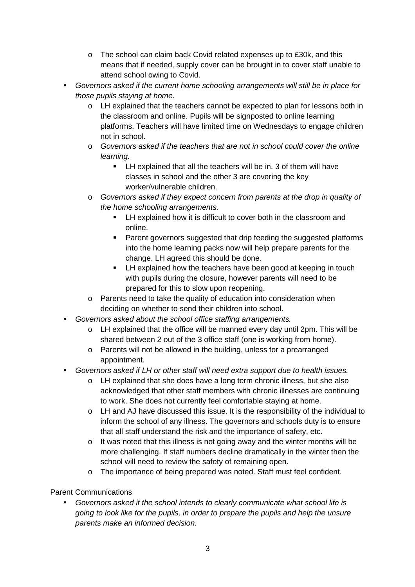- $\circ$  The school can claim back Covid related expenses up to £30k, and this means that if needed, supply cover can be brought in to cover staff unable to attend school owing to Covid.
- Governors asked if the current home schooling arrangements will still be in place for those pupils staying at home.
	- o LH explained that the teachers cannot be expected to plan for lessons both in the classroom and online. Pupils will be signposted to online learning platforms. Teachers will have limited time on Wednesdays to engage children not in school.
	- o Governors asked if the teachers that are not in school could cover the online learning.
		- **EXECT** LH explained that all the teachers will be in. 3 of them will have classes in school and the other 3 are covering the key worker/vulnerable children.
	- o Governors asked if they expect concern from parents at the drop in quality of the home schooling arrangements.
		- LH explained how it is difficult to cover both in the classroom and online.
		- **Parent governors suggested that drip feeding the suggested platforms** into the home learning packs now will help prepare parents for the change. LH agreed this should be done.
		- **LH** explained how the teachers have been good at keeping in touch with pupils during the closure, however parents will need to be prepared for this to slow upon reopening.
	- o Parents need to take the quality of education into consideration when deciding on whether to send their children into school.
- Governors asked about the school office staffing arrangements.
	- o LH explained that the office will be manned every day until 2pm. This will be shared between 2 out of the 3 office staff (one is working from home).
	- o Parents will not be allowed in the building, unless for a prearranged appointment.
- Governors asked if LH or other staff will need extra support due to health issues.
	- o LH explained that she does have a long term chronic illness, but she also acknowledged that other staff members with chronic illnesses are continuing to work. She does not currently feel comfortable staying at home.
	- o LH and AJ have discussed this issue. It is the responsibility of the individual to inform the school of any illness. The governors and schools duty is to ensure that all staff understand the risk and the importance of safety, etc.
	- o It was noted that this illness is not going away and the winter months will be more challenging. If staff numbers decline dramatically in the winter then the school will need to review the safety of remaining open.
	- o The importance of being prepared was noted. Staff must feel confident.

Parent Communications

• Governors asked if the school intends to clearly communicate what school life is going to look like for the pupils, in order to prepare the pupils and help the unsure parents make an informed decision.